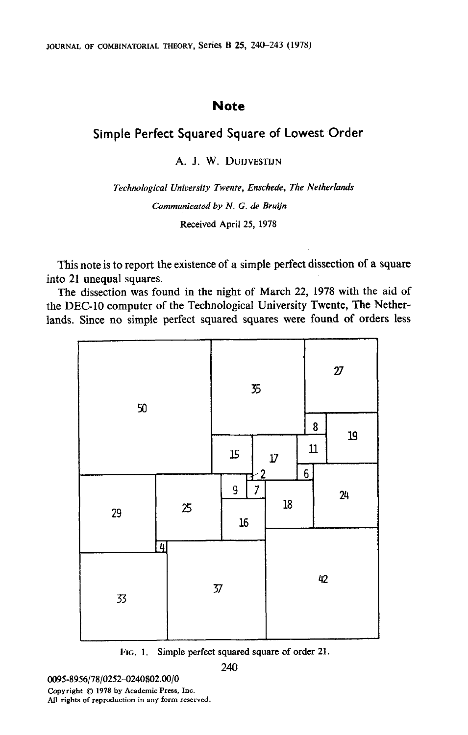## **Note**

## Simple Perfect Squared Square of Lowest Order

A. J. W. DUIJVESTIJN

Technological University Twente, Enschede, The Netherlands Communicated by N. G. de Brutjn Received April 25, 1978

This note is to report the existence of a simple perfect dissection of a square into 21 unequal squares.

The dissection was found in the night of March 22, 1978 with the aid of the DEC-10 computer of the Technological University Twente, The Netherlands. Since no simple perfect squared squares were found of orders less



FIG. 1. Simple perfect squared square of order 21.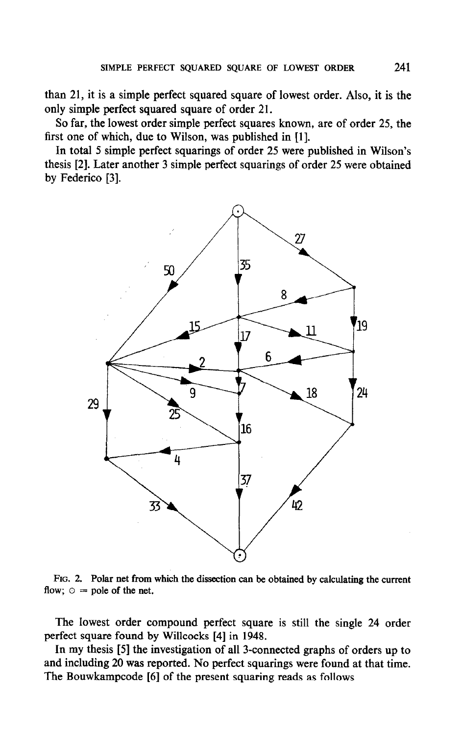than 21, it is a simple perfect squared square of lowest order. Also, it is the only simple perfect squared square of order 21.

So far, the lowest order simple perfect squares known, are of order 25, the first one of which, due to Wilson, was published in [l].

In total 5 simple perfect squarings of order 25 were published in Wilson's thesis [2]. Later another 3 simple perfect squarings of order 25 were obtained by Federico [3].



 $\frac{1}{2}$  flow;  $\frac{2}{3}$  following net from

 $\mathbf{L}_\mathbf{z}$  order compound perfect square is still the single 24 order is still the single 24 order is still the single 24 order compound by perfect square found by Williams and 1948.  $\frac{1}{2}$  first square found by which is  $\frac{1}{2}$  in  $\frac{1}{2}$  and  $\frac{1}{2}$ 

and in perfect the investigation of all 3-connected graphs of orders up to and including 20 was reported. No perfect squarings were found at that time.<br>The Bouwkampcode [6] of the present squaring reads as follows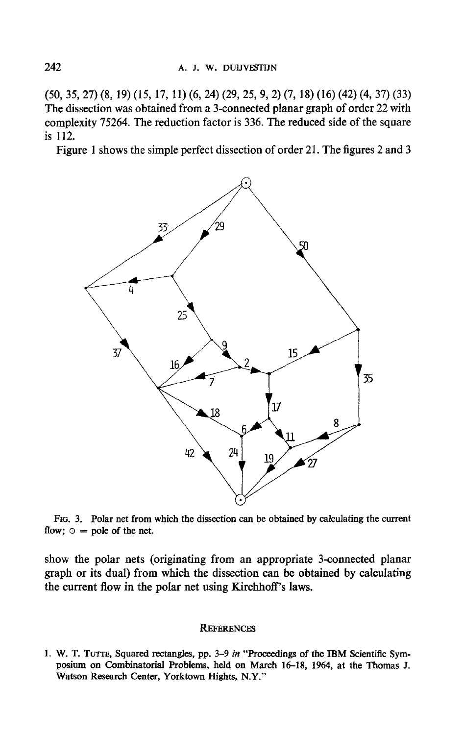(50, 35, 27) (8, 19) (15, 17, 11) (6, 24) (29, 25, 9,2) (7, 18) (16) (42) (4, 37) (33) The dissection was obtained from a 3-connected planar graph of order 22 with complexity 75264. The reduction factor is 336. The reduced side of the square is 112.

Figure 1 shows the simple perfect dissection of order 21. The figures 2 and 3



FIG. 3. Polar net from which the dissection can be obtained by calculating the current flow;  $\circ$  = pole of the net.

show the polar nets (originating from an appropriate 3-connected planar graph or its dual) from which the dissection can be obtained by calculating the current flow in the polar net using Kirchhoff's laws.

## **REFERENCES**

1. W. T. TUTTE, Squared rectangles, pp. 3–9 in "Proceedings of the IBM Scientific Symposium on Combinatorial Problems, held on March 16-18, 1964, at the Thomas J. Watson Research Center, Yorktown Hights, N.Y."